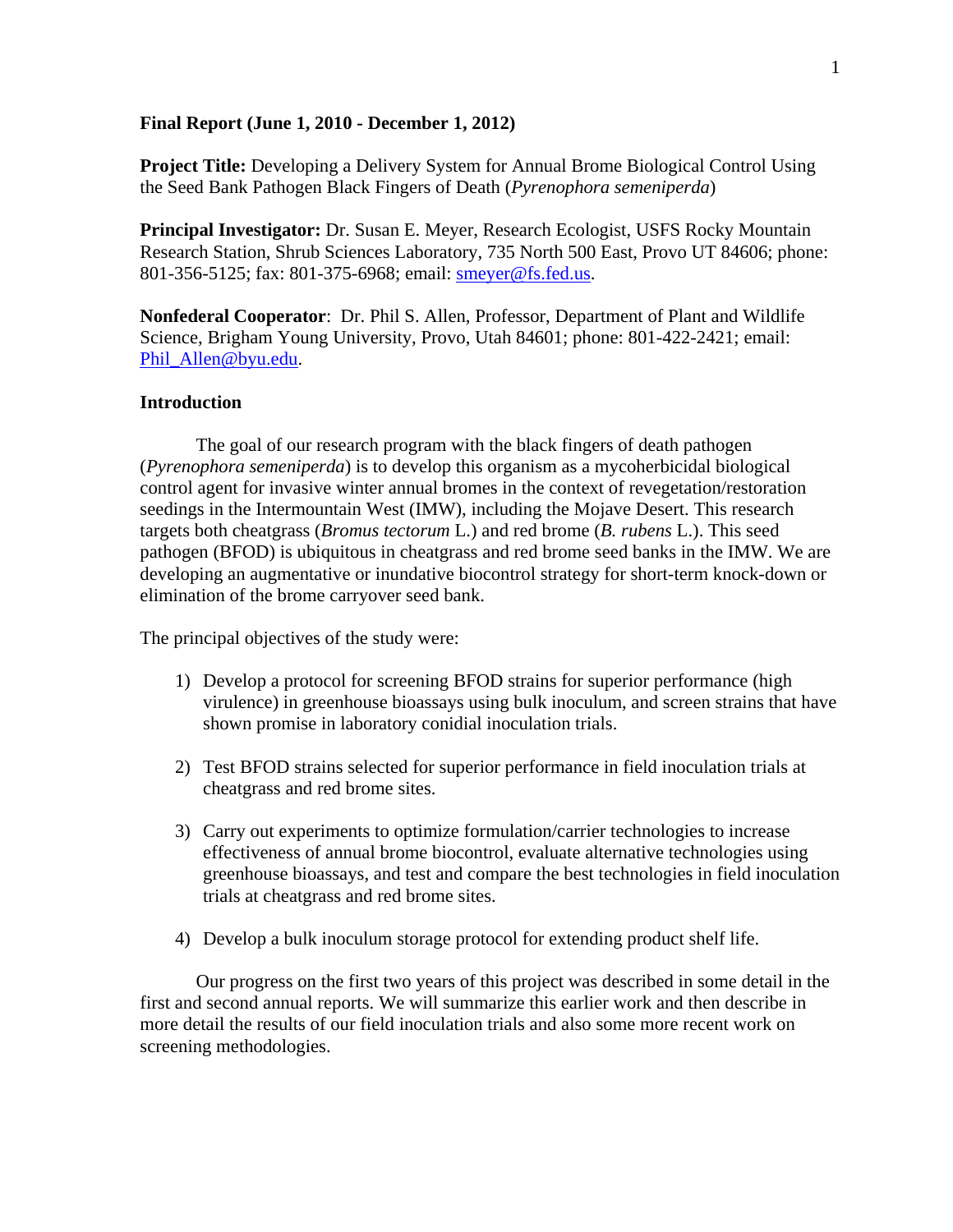## **Final Report (June 1, 2010 - December 1, 2012)**

**Project Title:** Developing a Delivery System for Annual Brome Biological Control Using the Seed Bank Pathogen Black Fingers of Death (*Pyrenophora semeniperda*)

**Principal Investigator:** Dr. Susan E. Meyer, Research Ecologist, USFS Rocky Mountain Research Station, Shrub Sciences Laboratory, 735 North 500 East, Provo UT 84606; phone: 801-356-5125; fax: 801-375-6968; email: smeyer@fs.fed.us.

**Nonfederal Cooperator**: Dr. Phil S. Allen, Professor, Department of Plant and Wildlife Science, Brigham Young University, Provo, Utah 84601; phone: 801-422-2421; email: Phil\_Allen@byu.edu.

# **Introduction**

The goal of our research program with the black fingers of death pathogen (*Pyrenophora semeniperda*) is to develop this organism as a mycoherbicidal biological control agent for invasive winter annual bromes in the context of revegetation/restoration seedings in the Intermountain West (IMW), including the Mojave Desert. This research targets both cheatgrass (*Bromus tectorum* L.) and red brome (*B. rubens* L.). This seed pathogen (BFOD) is ubiquitous in cheatgrass and red brome seed banks in the IMW. We are developing an augmentative or inundative biocontrol strategy for short-term knock-down or elimination of the brome carryover seed bank.

The principal objectives of the study were:

- 1) Develop a protocol for screening BFOD strains for superior performance (high virulence) in greenhouse bioassays using bulk inoculum, and screen strains that have shown promise in laboratory conidial inoculation trials.
- 2) Test BFOD strains selected for superior performance in field inoculation trials at cheatgrass and red brome sites.
- 3) Carry out experiments to optimize formulation/carrier technologies to increase effectiveness of annual brome biocontrol, evaluate alternative technologies using greenhouse bioassays, and test and compare the best technologies in field inoculation trials at cheatgrass and red brome sites.
- 4) Develop a bulk inoculum storage protocol for extending product shelf life.

Our progress on the first two years of this project was described in some detail in the first and second annual reports. We will summarize this earlier work and then describe in more detail the results of our field inoculation trials and also some more recent work on screening methodologies.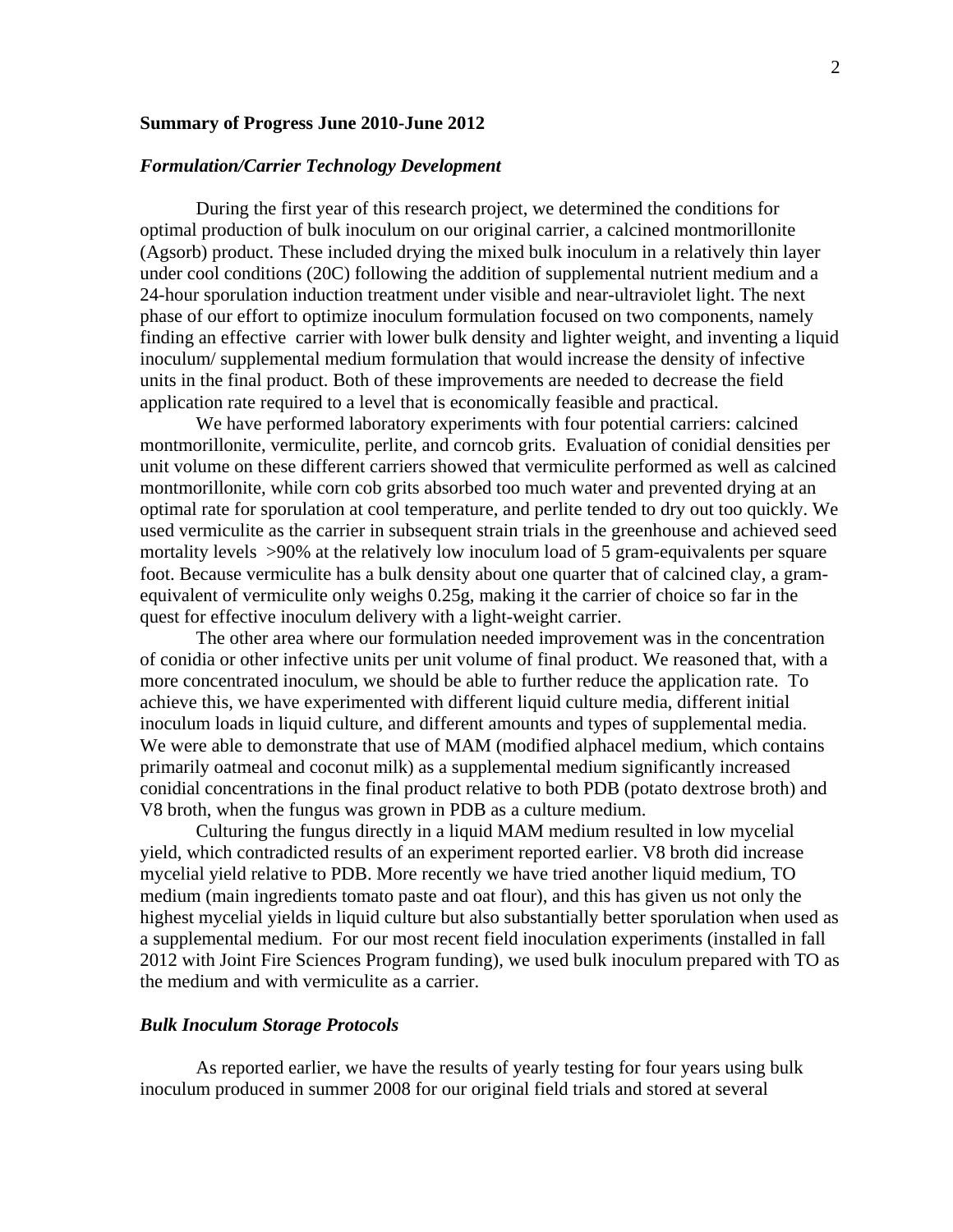## **Summary of Progress June 2010-June 2012**

#### *Formulation/Carrier Technology Development*

During the first year of this research project, we determined the conditions for optimal production of bulk inoculum on our original carrier, a calcined montmorillonite (Agsorb) product. These included drying the mixed bulk inoculum in a relatively thin layer under cool conditions (20C) following the addition of supplemental nutrient medium and a 24-hour sporulation induction treatment under visible and near-ultraviolet light. The next phase of our effort to optimize inoculum formulation focused on two components, namely finding an effective carrier with lower bulk density and lighter weight, and inventing a liquid inoculum/ supplemental medium formulation that would increase the density of infective units in the final product. Both of these improvements are needed to decrease the field application rate required to a level that is economically feasible and practical.

We have performed laboratory experiments with four potential carriers: calcined montmorillonite, vermiculite, perlite, and corncob grits. Evaluation of conidial densities per unit volume on these different carriers showed that vermiculite performed as well as calcined montmorillonite, while corn cob grits absorbed too much water and prevented drying at an optimal rate for sporulation at cool temperature, and perlite tended to dry out too quickly. We used vermiculite as the carrier in subsequent strain trials in the greenhouse and achieved seed mortality levels >90% at the relatively low inoculum load of 5 gram-equivalents per square foot. Because vermiculite has a bulk density about one quarter that of calcined clay, a gramequivalent of vermiculite only weighs 0.25g, making it the carrier of choice so far in the quest for effective inoculum delivery with a light-weight carrier.

The other area where our formulation needed improvement was in the concentration of conidia or other infective units per unit volume of final product. We reasoned that, with a more concentrated inoculum, we should be able to further reduce the application rate. To achieve this, we have experimented with different liquid culture media, different initial inoculum loads in liquid culture, and different amounts and types of supplemental media. We were able to demonstrate that use of MAM (modified alphacel medium, which contains primarily oatmeal and coconut milk) as a supplemental medium significantly increased conidial concentrations in the final product relative to both PDB (potato dextrose broth) and V8 broth, when the fungus was grown in PDB as a culture medium.

Culturing the fungus directly in a liquid MAM medium resulted in low mycelial yield, which contradicted results of an experiment reported earlier. V8 broth did increase mycelial yield relative to PDB. More recently we have tried another liquid medium, TO medium (main ingredients tomato paste and oat flour), and this has given us not only the highest mycelial yields in liquid culture but also substantially better sporulation when used as a supplemental medium. For our most recent field inoculation experiments (installed in fall 2012 with Joint Fire Sciences Program funding), we used bulk inoculum prepared with TO as the medium and with vermiculite as a carrier.

#### *Bulk Inoculum Storage Protocols*

As reported earlier, we have the results of yearly testing for four years using bulk inoculum produced in summer 2008 for our original field trials and stored at several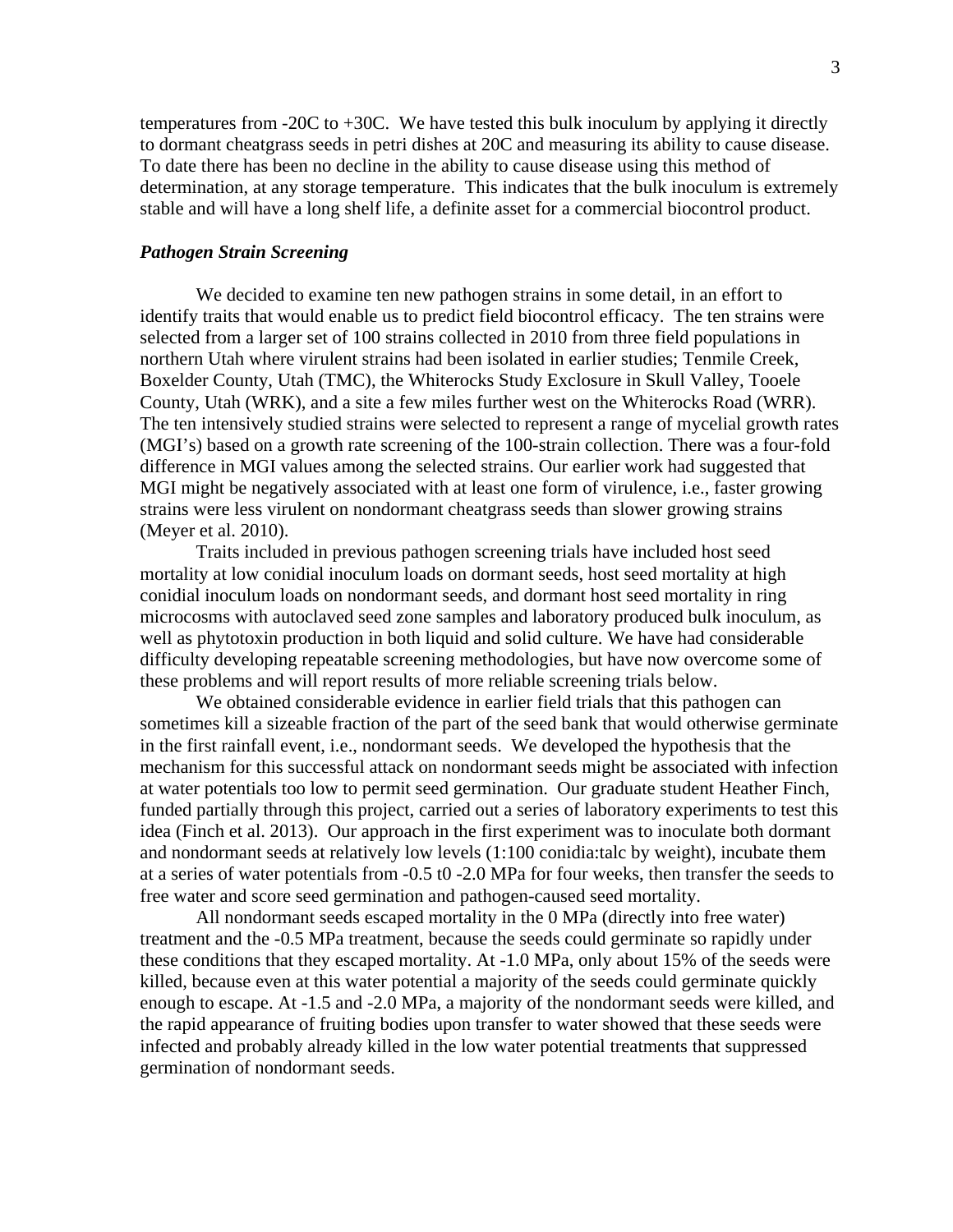temperatures from -20C to +30C. We have tested this bulk inoculum by applying it directly to dormant cheatgrass seeds in petri dishes at 20C and measuring its ability to cause disease. To date there has been no decline in the ability to cause disease using this method of determination, at any storage temperature. This indicates that the bulk inoculum is extremely stable and will have a long shelf life, a definite asset for a commercial biocontrol product.

# *Pathogen Strain Screening*

We decided to examine ten new pathogen strains in some detail, in an effort to identify traits that would enable us to predict field biocontrol efficacy. The ten strains were selected from a larger set of 100 strains collected in 2010 from three field populations in northern Utah where virulent strains had been isolated in earlier studies; Tenmile Creek, Boxelder County, Utah (TMC), the Whiterocks Study Exclosure in Skull Valley, Tooele County, Utah (WRK), and a site a few miles further west on the Whiterocks Road (WRR). The ten intensively studied strains were selected to represent a range of mycelial growth rates (MGI's) based on a growth rate screening of the 100-strain collection. There was a four-fold difference in MGI values among the selected strains. Our earlier work had suggested that MGI might be negatively associated with at least one form of virulence, i.e., faster growing strains were less virulent on nondormant cheatgrass seeds than slower growing strains (Meyer et al. 2010).

Traits included in previous pathogen screening trials have included host seed mortality at low conidial inoculum loads on dormant seeds, host seed mortality at high conidial inoculum loads on nondormant seeds, and dormant host seed mortality in ring microcosms with autoclaved seed zone samples and laboratory produced bulk inoculum, as well as phytotoxin production in both liquid and solid culture. We have had considerable difficulty developing repeatable screening methodologies, but have now overcome some of these problems and will report results of more reliable screening trials below.

We obtained considerable evidence in earlier field trials that this pathogen can sometimes kill a sizeable fraction of the part of the seed bank that would otherwise germinate in the first rainfall event, i.e., nondormant seeds. We developed the hypothesis that the mechanism for this successful attack on nondormant seeds might be associated with infection at water potentials too low to permit seed germination. Our graduate student Heather Finch, funded partially through this project, carried out a series of laboratory experiments to test this idea (Finch et al. 2013). Our approach in the first experiment was to inoculate both dormant and nondormant seeds at relatively low levels (1:100 conidia:talc by weight), incubate them at a series of water potentials from -0.5 t0 -2.0 MPa for four weeks, then transfer the seeds to free water and score seed germination and pathogen-caused seed mortality.

All nondormant seeds escaped mortality in the 0 MPa (directly into free water) treatment and the -0.5 MPa treatment, because the seeds could germinate so rapidly under these conditions that they escaped mortality. At -1.0 MPa, only about 15% of the seeds were killed, because even at this water potential a majority of the seeds could germinate quickly enough to escape. At -1.5 and -2.0 MPa, a majority of the nondormant seeds were killed, and the rapid appearance of fruiting bodies upon transfer to water showed that these seeds were infected and probably already killed in the low water potential treatments that suppressed germination of nondormant seeds.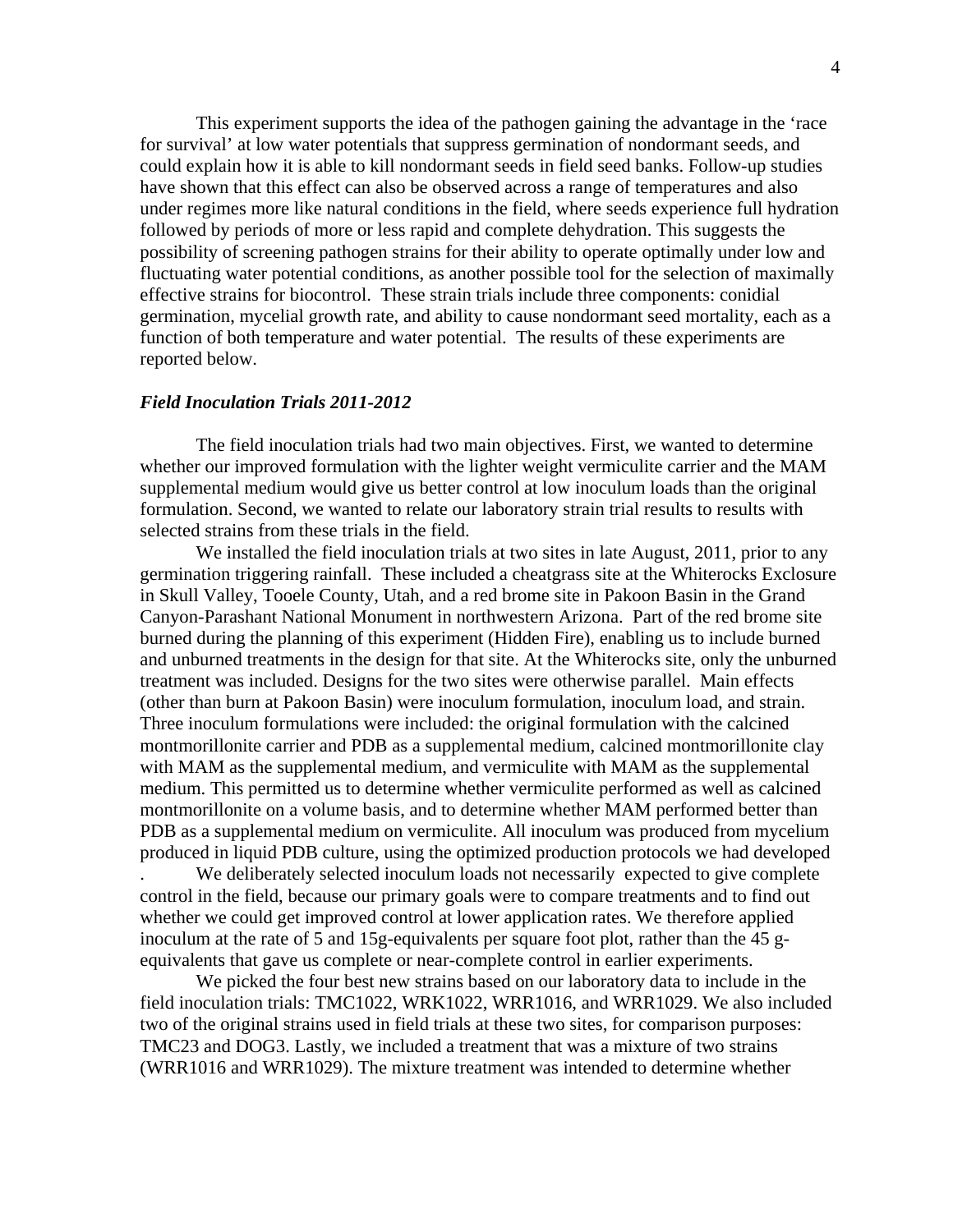This experiment supports the idea of the pathogen gaining the advantage in the 'race for survival' at low water potentials that suppress germination of nondormant seeds, and could explain how it is able to kill nondormant seeds in field seed banks. Follow-up studies have shown that this effect can also be observed across a range of temperatures and also under regimes more like natural conditions in the field, where seeds experience full hydration followed by periods of more or less rapid and complete dehydration. This suggests the possibility of screening pathogen strains for their ability to operate optimally under low and fluctuating water potential conditions, as another possible tool for the selection of maximally effective strains for biocontrol. These strain trials include three components: conidial germination, mycelial growth rate, and ability to cause nondormant seed mortality, each as a function of both temperature and water potential. The results of these experiments are reported below.

#### *Field Inoculation Trials 2011-2012*

The field inoculation trials had two main objectives. First, we wanted to determine whether our improved formulation with the lighter weight vermiculite carrier and the MAM supplemental medium would give us better control at low inoculum loads than the original formulation. Second, we wanted to relate our laboratory strain trial results to results with selected strains from these trials in the field.

We installed the field inoculation trials at two sites in late August, 2011, prior to any germination triggering rainfall. These included a cheatgrass site at the Whiterocks Exclosure in Skull Valley, Tooele County, Utah, and a red brome site in Pakoon Basin in the Grand Canyon-Parashant National Monument in northwestern Arizona. Part of the red brome site burned during the planning of this experiment (Hidden Fire), enabling us to include burned and unburned treatments in the design for that site. At the Whiterocks site, only the unburned treatment was included. Designs for the two sites were otherwise parallel. Main effects (other than burn at Pakoon Basin) were inoculum formulation, inoculum load, and strain. Three inoculum formulations were included: the original formulation with the calcined montmorillonite carrier and PDB as a supplemental medium, calcined montmorillonite clay with MAM as the supplemental medium, and vermiculite with MAM as the supplemental medium. This permitted us to determine whether vermiculite performed as well as calcined montmorillonite on a volume basis, and to determine whether MAM performed better than PDB as a supplemental medium on vermiculite. All inoculum was produced from mycelium produced in liquid PDB culture, using the optimized production protocols we had developed

We deliberately selected inoculum loads not necessarily expected to give complete control in the field, because our primary goals were to compare treatments and to find out whether we could get improved control at lower application rates. We therefore applied inoculum at the rate of 5 and 15g-equivalents per square foot plot, rather than the 45 gequivalents that gave us complete or near-complete control in earlier experiments.

We picked the four best new strains based on our laboratory data to include in the field inoculation trials: TMC1022, WRK1022, WRR1016, and WRR1029. We also included two of the original strains used in field trials at these two sites, for comparison purposes: TMC23 and DOG3. Lastly, we included a treatment that was a mixture of two strains (WRR1016 and WRR1029). The mixture treatment was intended to determine whether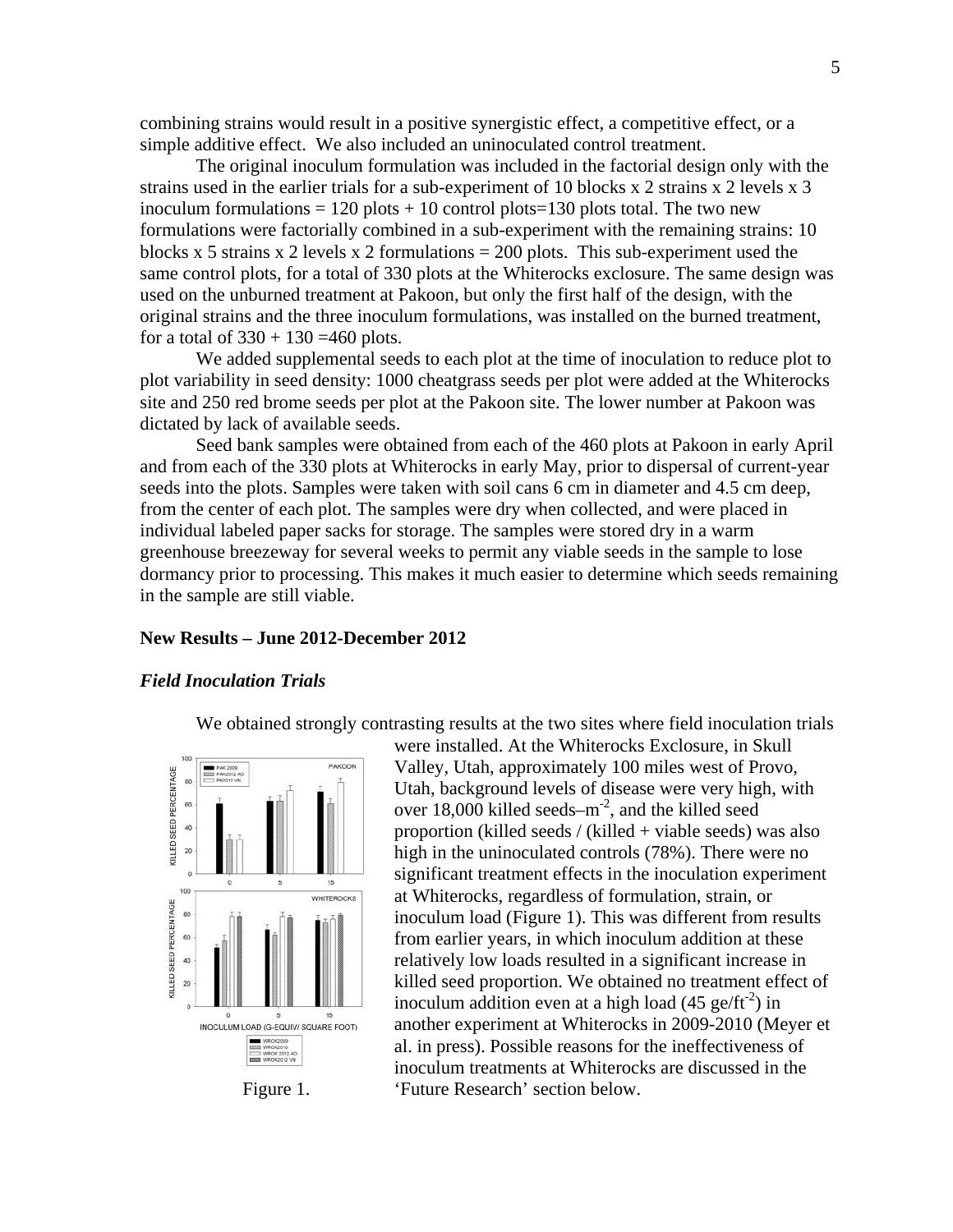combining strains would result in a positive synergistic effect, a competitive effect, or a simple additive effect. We also included an uninoculated control treatment.

The original inoculum formulation was included in the factorial design only with the strains used in the earlier trials for a sub-experiment of 10 blocks x 2 strains x 2 levels x 3 inoculum formulations  $= 120$  plots  $+ 10$  control plots=130 plots total. The two new formulations were factorially combined in a sub-experiment with the remaining strains: 10 blocks x 5 strains x 2 levels x 2 formulations  $= 200$  plots. This sub-experiment used the same control plots, for a total of 330 plots at the Whiterocks exclosure. The same design was used on the unburned treatment at Pakoon, but only the first half of the design, with the original strains and the three inoculum formulations, was installed on the burned treatment, for a total of  $330 + 130 = 460$  plots.

We added supplemental seeds to each plot at the time of inoculation to reduce plot to plot variability in seed density: 1000 cheatgrass seeds per plot were added at the Whiterocks site and 250 red brome seeds per plot at the Pakoon site. The lower number at Pakoon was dictated by lack of available seeds.

Seed bank samples were obtained from each of the 460 plots at Pakoon in early April and from each of the 330 plots at Whiterocks in early May, prior to dispersal of current-year seeds into the plots. Samples were taken with soil cans 6 cm in diameter and 4.5 cm deep, from the center of each plot. The samples were dry when collected, and were placed in individual labeled paper sacks for storage. The samples were stored dry in a warm greenhouse breezeway for several weeks to permit any viable seeds in the sample to lose dormancy prior to processing. This makes it much easier to determine which seeds remaining in the sample are still viable.

## **New Results – June 2012-December 2012**

#### *Field Inoculation Trials*

We obtained strongly contrasting results at the two sites where field inoculation trials



were installed. At the Whiterocks Exclosure, in Skull Valley, Utah, approximately 100 miles west of Provo, Utah, background levels of disease were very high, with over  $18,000$  killed seeds–m<sup>-2</sup>, and the killed seed proportion (killed seeds / (killed + viable seeds) was also high in the uninoculated controls (78%). There were no significant treatment effects in the inoculation experiment at Whiterocks, regardless of formulation, strain, or inoculum load (Figure 1). This was different from results from earlier years, in which inoculum addition at these relatively low loads resulted in a significant increase in killed seed proportion. We obtained no treatment effect of inoculum addition even at a high load  $(45 \text{ ge/ft}^2)$  in another experiment at Whiterocks in 2009-2010 (Meyer et al. in press). Possible reasons for the ineffectiveness of inoculum treatments at Whiterocks are discussed in the Figure 1. 'Future Research' section below.

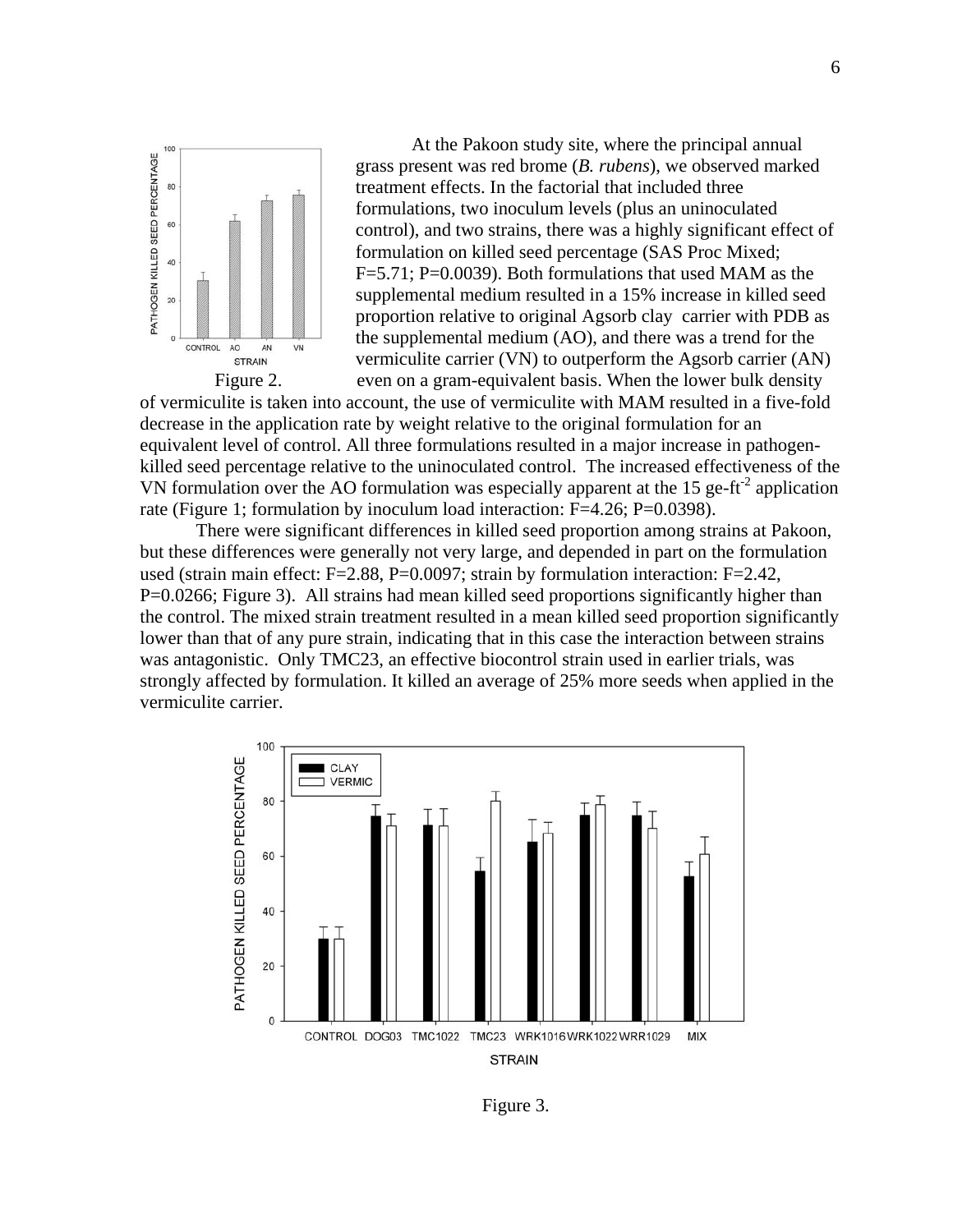

At the Pakoon study site, where the principal annual grass present was red brome (*B. rubens*), we observed marked treatment effects. In the factorial that included three formulations, two inoculum levels (plus an uninoculated control), and two strains, there was a highly significant effect of formulation on killed seed percentage (SAS Proc Mixed; F=5.71; P=0.0039). Both formulations that used MAM as the supplemental medium resulted in a 15% increase in killed seed proportion relative to original Agsorb clay carrier with PDB as the supplemental medium (AO), and there was a trend for the vermiculite carrier (VN) to outperform the Agsorb carrier (AN) Figure 2. even on a gram-equivalent basis. When the lower bulk density

of vermiculite is taken into account, the use of vermiculite with MAM resulted in a five-fold decrease in the application rate by weight relative to the original formulation for an equivalent level of control. All three formulations resulted in a major increase in pathogenkilled seed percentage relative to the uninoculated control. The increased effectiveness of the VN formulation over the AO formulation was especially apparent at the 15 ge-ft<sup>-2</sup> application rate (Figure 1; formulation by inoculum load interaction: F=4.26; P=0.0398).

There were significant differences in killed seed proportion among strains at Pakoon, but these differences were generally not very large, and depended in part on the formulation used (strain main effect: F=2.88, P=0.0097; strain by formulation interaction: F=2.42, P=0.0266; Figure 3). All strains had mean killed seed proportions significantly higher than the control. The mixed strain treatment resulted in a mean killed seed proportion significantly lower than that of any pure strain, indicating that in this case the interaction between strains was antagonistic. Only TMC23, an effective biocontrol strain used in earlier trials, was strongly affected by formulation. It killed an average of 25% more seeds when applied in the vermiculite carrier.



Figure 3.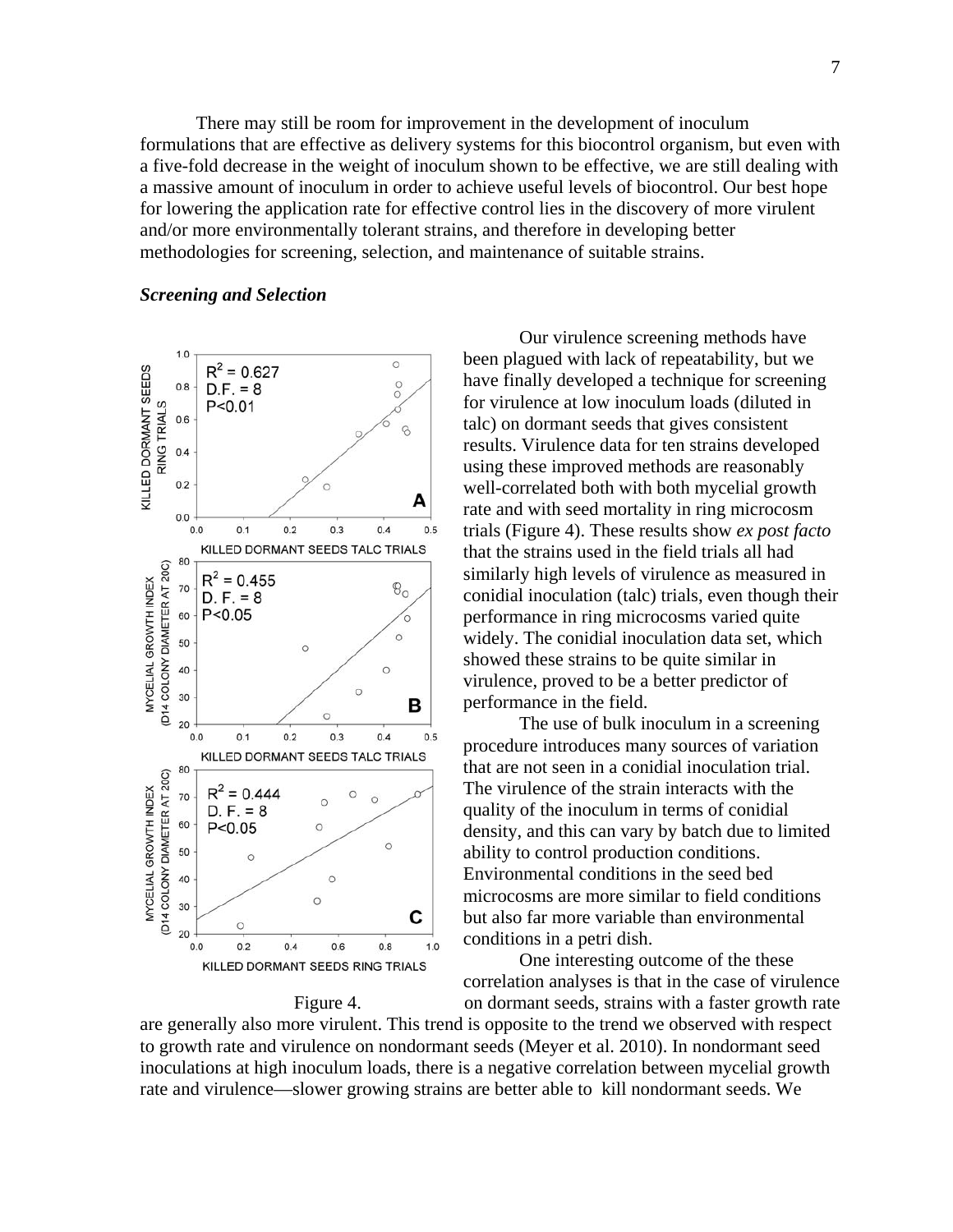There may still be room for improvement in the development of inoculum formulations that are effective as delivery systems for this biocontrol organism, but even with a five-fold decrease in the weight of inoculum shown to be effective, we are still dealing with a massive amount of inoculum in order to achieve useful levels of biocontrol. Our best hope for lowering the application rate for effective control lies in the discovery of more virulent and/or more environmentally tolerant strains, and therefore in developing better methodologies for screening, selection, and maintenance of suitable strains.

#### *Screening and Selection*



Our virulence screening methods have been plagued with lack of repeatability, but we have finally developed a technique for screening for virulence at low inoculum loads (diluted in talc) on dormant seeds that gives consistent results. Virulence data for ten strains developed using these improved methods are reasonably well-correlated both with both mycelial growth rate and with seed mortality in ring microcosm trials (Figure 4). These results show *ex post facto*  that the strains used in the field trials all had similarly high levels of virulence as measured in conidial inoculation (talc) trials, even though their performance in ring microcosms varied quite widely. The conidial inoculation data set, which showed these strains to be quite similar in virulence, proved to be a better predictor of performance in the field.

The use of bulk inoculum in a screening procedure introduces many sources of variation that are not seen in a conidial inoculation trial. The virulence of the strain interacts with the quality of the inoculum in terms of conidial density, and this can vary by batch due to limited ability to control production conditions. Environmental conditions in the seed bed microcosms are more similar to field conditions but also far more variable than environmental conditions in a petri dish.

One interesting outcome of the these correlation analyses is that in the case of virulence Figure 4. on dormant seeds, strains with a faster growth rate

are generally also more virulent. This trend is opposite to the trend we observed with respect to growth rate and virulence on nondormant seeds (Meyer et al. 2010). In nondormant seed inoculations at high inoculum loads, there is a negative correlation between mycelial growth rate and virulence—slower growing strains are better able to kill nondormant seeds. We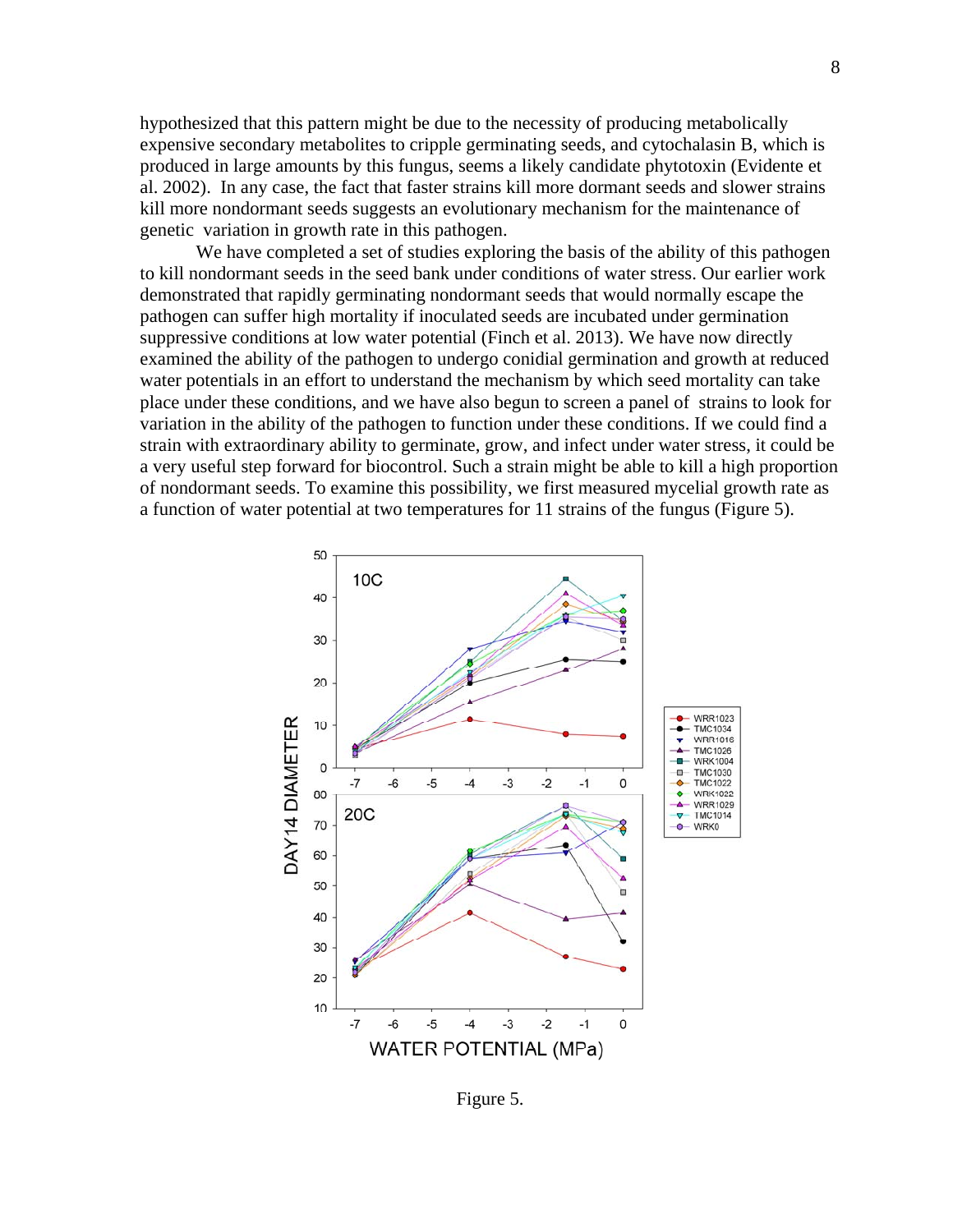hypothesized that this pattern might be due to the necessity of producing metabolically expensive secondary metabolites to cripple germinating seeds, and cytochalasin B, which is produced in large amounts by this fungus, seems a likely candidate phytotoxin (Evidente et al. 2002). In any case, the fact that faster strains kill more dormant seeds and slower strains kill more nondormant seeds suggests an evolutionary mechanism for the maintenance of genetic variation in growth rate in this pathogen.

We have completed a set of studies exploring the basis of the ability of this pathogen to kill nondormant seeds in the seed bank under conditions of water stress. Our earlier work demonstrated that rapidly germinating nondormant seeds that would normally escape the pathogen can suffer high mortality if inoculated seeds are incubated under germination suppressive conditions at low water potential (Finch et al. 2013). We have now directly examined the ability of the pathogen to undergo conidial germination and growth at reduced water potentials in an effort to understand the mechanism by which seed mortality can take place under these conditions, and we have also begun to screen a panel of strains to look for variation in the ability of the pathogen to function under these conditions. If we could find a strain with extraordinary ability to germinate, grow, and infect under water stress, it could be a very useful step forward for biocontrol. Such a strain might be able to kill a high proportion of nondormant seeds. To examine this possibility, we first measured mycelial growth rate as a function of water potential at two temperatures for 11 strains of the fungus (Figure 5).



Figure 5.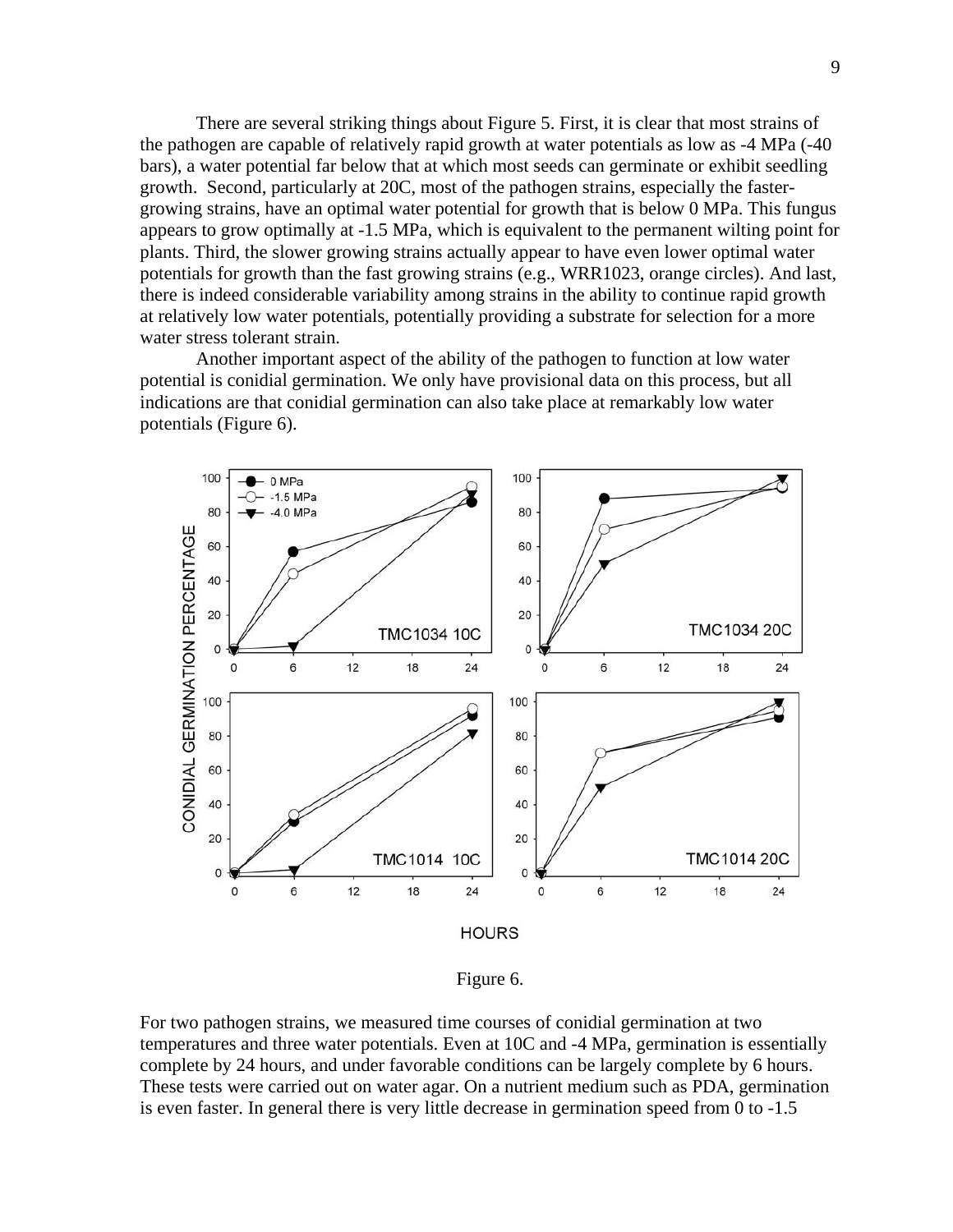There are several striking things about Figure 5. First, it is clear that most strains of the pathogen are capable of relatively rapid growth at water potentials as low as -4 MPa (-40 bars), a water potential far below that at which most seeds can germinate or exhibit seedling growth. Second, particularly at 20C, most of the pathogen strains, especially the fastergrowing strains, have an optimal water potential for growth that is below 0 MPa. This fungus appears to grow optimally at -1.5 MPa, which is equivalent to the permanent wilting point for plants. Third, the slower growing strains actually appear to have even lower optimal water potentials for growth than the fast growing strains (e.g., WRR1023, orange circles). And last, there is indeed considerable variability among strains in the ability to continue rapid growth at relatively low water potentials, potentially providing a substrate for selection for a more water stress tolerant strain.

Another important aspect of the ability of the pathogen to function at low water potential is conidial germination. We only have provisional data on this process, but all indications are that conidial germination can also take place at remarkably low water potentials (Figure 6).



Figure 6.

For two pathogen strains, we measured time courses of conidial germination at two temperatures and three water potentials. Even at 10C and -4 MPa, germination is essentially complete by 24 hours, and under favorable conditions can be largely complete by 6 hours. These tests were carried out on water agar. On a nutrient medium such as PDA, germination is even faster. In general there is very little decrease in germination speed from 0 to -1.5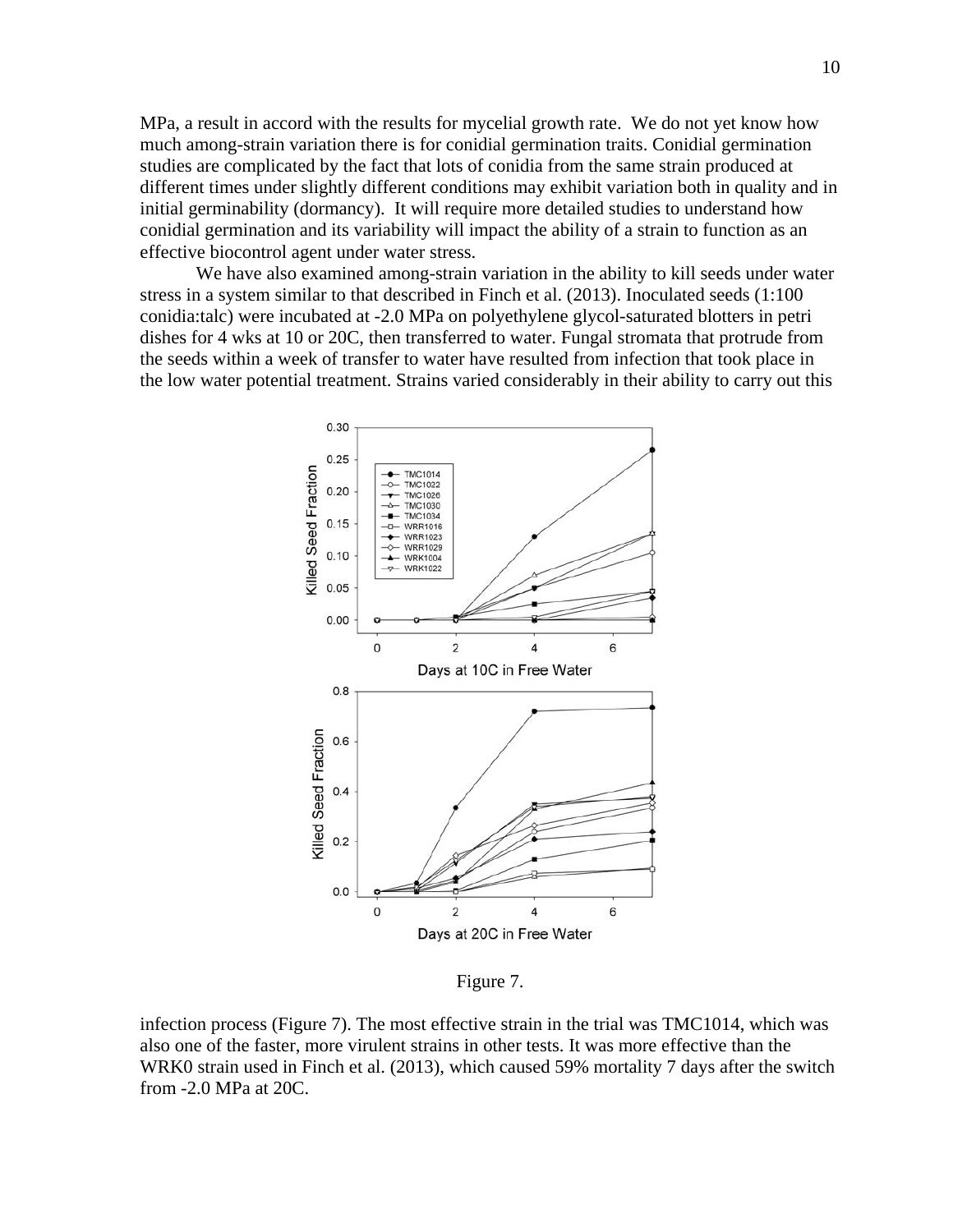MPa, a result in accord with the results for mycelial growth rate. We do not yet know how much among-strain variation there is for conidial germination traits. Conidial germination studies are complicated by the fact that lots of conidia from the same strain produced at different times under slightly different conditions may exhibit variation both in quality and in initial germinability (dormancy). It will require more detailed studies to understand how conidial germination and its variability will impact the ability of a strain to function as an effective biocontrol agent under water stress.

We have also examined among-strain variation in the ability to kill seeds under water stress in a system similar to that described in Finch et al. (2013). Inoculated seeds (1:100 conidia:talc) were incubated at -2.0 MPa on polyethylene glycol-saturated blotters in petri dishes for 4 wks at 10 or 20C, then transferred to water. Fungal stromata that protrude from the seeds within a week of transfer to water have resulted from infection that took place in the low water potential treatment. Strains varied considerably in their ability to carry out this



Figure 7.

infection process (Figure 7). The most effective strain in the trial was TMC1014, which was also one of the faster, more virulent strains in other tests. It was more effective than the WRK0 strain used in Finch et al. (2013), which caused 59% mortality 7 days after the switch from -2.0 MPa at 20C.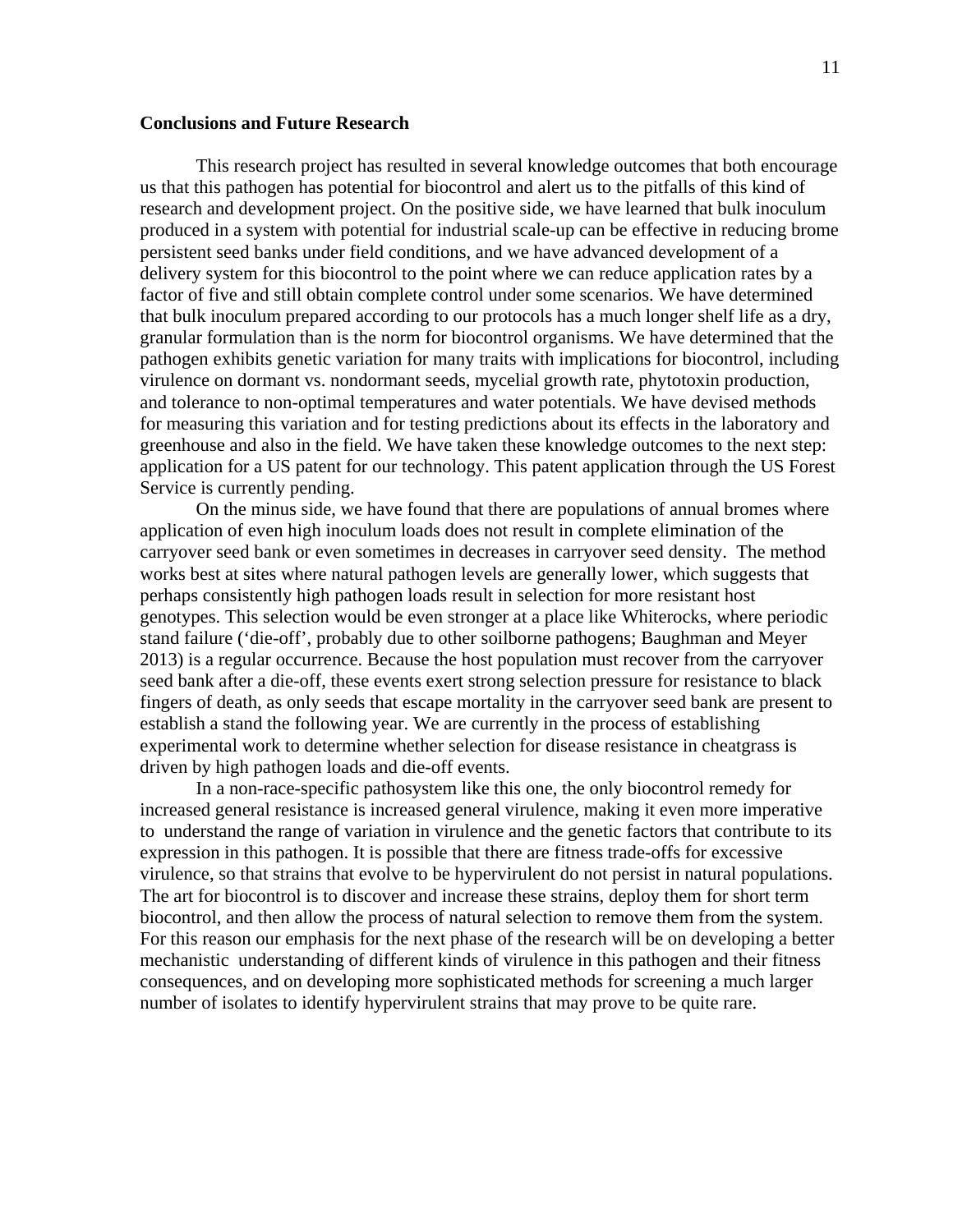## **Conclusions and Future Research**

This research project has resulted in several knowledge outcomes that both encourage us that this pathogen has potential for biocontrol and alert us to the pitfalls of this kind of research and development project. On the positive side, we have learned that bulk inoculum produced in a system with potential for industrial scale-up can be effective in reducing brome persistent seed banks under field conditions, and we have advanced development of a delivery system for this biocontrol to the point where we can reduce application rates by a factor of five and still obtain complete control under some scenarios. We have determined that bulk inoculum prepared according to our protocols has a much longer shelf life as a dry, granular formulation than is the norm for biocontrol organisms. We have determined that the pathogen exhibits genetic variation for many traits with implications for biocontrol, including virulence on dormant vs. nondormant seeds, mycelial growth rate, phytotoxin production, and tolerance to non-optimal temperatures and water potentials. We have devised methods for measuring this variation and for testing predictions about its effects in the laboratory and greenhouse and also in the field. We have taken these knowledge outcomes to the next step: application for a US patent for our technology. This patent application through the US Forest Service is currently pending.

On the minus side, we have found that there are populations of annual bromes where application of even high inoculum loads does not result in complete elimination of the carryover seed bank or even sometimes in decreases in carryover seed density. The method works best at sites where natural pathogen levels are generally lower, which suggests that perhaps consistently high pathogen loads result in selection for more resistant host genotypes. This selection would be even stronger at a place like Whiterocks, where periodic stand failure ('die-off', probably due to other soilborne pathogens; Baughman and Meyer 2013) is a regular occurrence. Because the host population must recover from the carryover seed bank after a die-off, these events exert strong selection pressure for resistance to black fingers of death, as only seeds that escape mortality in the carryover seed bank are present to establish a stand the following year. We are currently in the process of establishing experimental work to determine whether selection for disease resistance in cheatgrass is driven by high pathogen loads and die-off events.

In a non-race-specific pathosystem like this one, the only biocontrol remedy for increased general resistance is increased general virulence, making it even more imperative to understand the range of variation in virulence and the genetic factors that contribute to its expression in this pathogen. It is possible that there are fitness trade-offs for excessive virulence, so that strains that evolve to be hypervirulent do not persist in natural populations. The art for biocontrol is to discover and increase these strains, deploy them for short term biocontrol, and then allow the process of natural selection to remove them from the system. For this reason our emphasis for the next phase of the research will be on developing a better mechanistic understanding of different kinds of virulence in this pathogen and their fitness consequences, and on developing more sophisticated methods for screening a much larger number of isolates to identify hypervirulent strains that may prove to be quite rare.